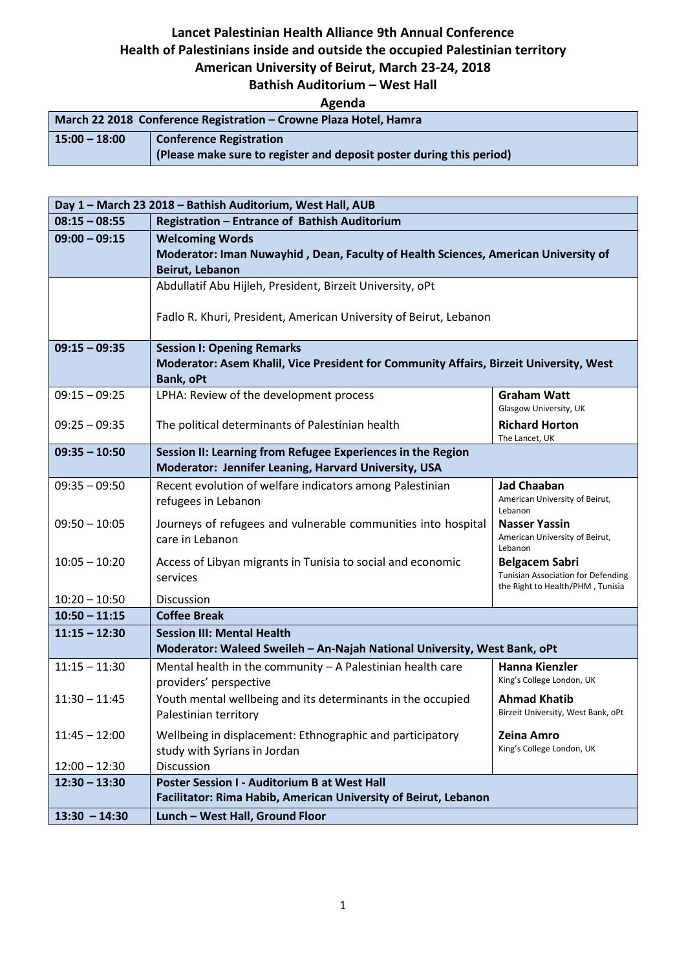# **Lancet Palestinian Health Alliance 9th Annual Conference Health of Palestinians inside and outside the occupied Palestinian territory**

## **American University of Beirut, March 23-24, 2018**

#### **Bathish Auditorium – West Hall**

## **Agenda**

| March 22 2018 Conference Registration – Crowne Plaza Hotel, Hamra |                                                                      |  |
|-------------------------------------------------------------------|----------------------------------------------------------------------|--|
| $15:00 - 18:00$                                                   | <b>Conference Registration</b>                                       |  |
|                                                                   | (Please make sure to register and deposit poster during this period) |  |

| Day 1 - March 23 2018 - Bathish Auditorium, West Hall, AUB |                                                                                                               |                                           |  |
|------------------------------------------------------------|---------------------------------------------------------------------------------------------------------------|-------------------------------------------|--|
| $08:15 - 08:55$                                            | Registration - Entrance of Bathish Auditorium                                                                 |                                           |  |
| $09:00 - 09:15$                                            | <b>Welcoming Words</b>                                                                                        |                                           |  |
|                                                            | Moderator: Iman Nuwayhid, Dean, Faculty of Health Sciences, American University of                            |                                           |  |
|                                                            | Beirut, Lebanon                                                                                               |                                           |  |
|                                                            | Abdullatif Abu Hijleh, President, Birzeit University, oPt                                                     |                                           |  |
|                                                            |                                                                                                               |                                           |  |
|                                                            | Fadlo R. Khuri, President, American University of Beirut, Lebanon                                             |                                           |  |
| $09:15 - 09:35$                                            | <b>Session I: Opening Remarks</b>                                                                             |                                           |  |
|                                                            | Moderator: Asem Khalil, Vice President for Community Affairs, Birzeit University, West                        |                                           |  |
|                                                            | <b>Bank, oPt</b>                                                                                              |                                           |  |
| $09:15 - 09:25$                                            | LPHA: Review of the development process                                                                       | <b>Graham Watt</b>                        |  |
|                                                            |                                                                                                               | Glasgow University, UK                    |  |
| $09:25 - 09:35$                                            | The political determinants of Palestinian health                                                              | <b>Richard Horton</b><br>The Lancet, UK   |  |
| $09:35 - 10:50$                                            | Session II: Learning from Refugee Experiences in the Region                                                   |                                           |  |
|                                                            | Moderator: Jennifer Leaning, Harvard University, USA                                                          |                                           |  |
| $09:35 - 09:50$                                            | Recent evolution of welfare indicators among Palestinian                                                      | <b>Jad Chaaban</b>                        |  |
|                                                            | refugees in Lebanon                                                                                           | American University of Beirut,<br>Lebanon |  |
| $09:50 - 10:05$                                            | Journeys of refugees and vulnerable communities into hospital                                                 | <b>Nasser Yassin</b>                      |  |
|                                                            | care in Lebanon                                                                                               | American University of Beirut,            |  |
| $10:05 - 10:20$                                            | Access of Libyan migrants in Tunisia to social and economic                                                   | Lebanon<br><b>Belgacem Sabri</b>          |  |
|                                                            | services                                                                                                      | <b>Tunisian Association for Defending</b> |  |
|                                                            |                                                                                                               | the Right to Health/PHM, Tunisia          |  |
| $10:20 - 10:50$<br>$10:50 - 11:15$                         | Discussion<br><b>Coffee Break</b>                                                                             |                                           |  |
|                                                            |                                                                                                               |                                           |  |
| $11:15 - 12:30$                                            | <b>Session III: Mental Health</b><br>Moderator: Waleed Sweileh - An-Najah National University, West Bank, oPt |                                           |  |
| $11:15 - 11:30$                                            | Mental health in the community $-$ A Palestinian health care                                                  | <b>Hanna Kienzler</b>                     |  |
|                                                            | providers' perspective                                                                                        | King's College London, UK                 |  |
| $11:30 - 11:45$                                            | Youth mental wellbeing and its determinants in the occupied                                                   | <b>Ahmad Khatib</b>                       |  |
|                                                            | Palestinian territory                                                                                         | Birzeit University, West Bank, oPt        |  |
| $11:45 - 12:00$                                            | Wellbeing in displacement: Ethnographic and participatory                                                     | <b>Zeina Amro</b>                         |  |
|                                                            | study with Syrians in Jordan                                                                                  | King's College London, UK                 |  |
| $12:00 - 12:30$                                            | Discussion                                                                                                    |                                           |  |
| $12:30 - 13:30$                                            | <b>Poster Session I - Auditorium B at West Hall</b>                                                           |                                           |  |
|                                                            | Facilitator: Rima Habib, American University of Beirut, Lebanon                                               |                                           |  |
| $13:30 - 14:30$                                            | Lunch - West Hall, Ground Floor                                                                               |                                           |  |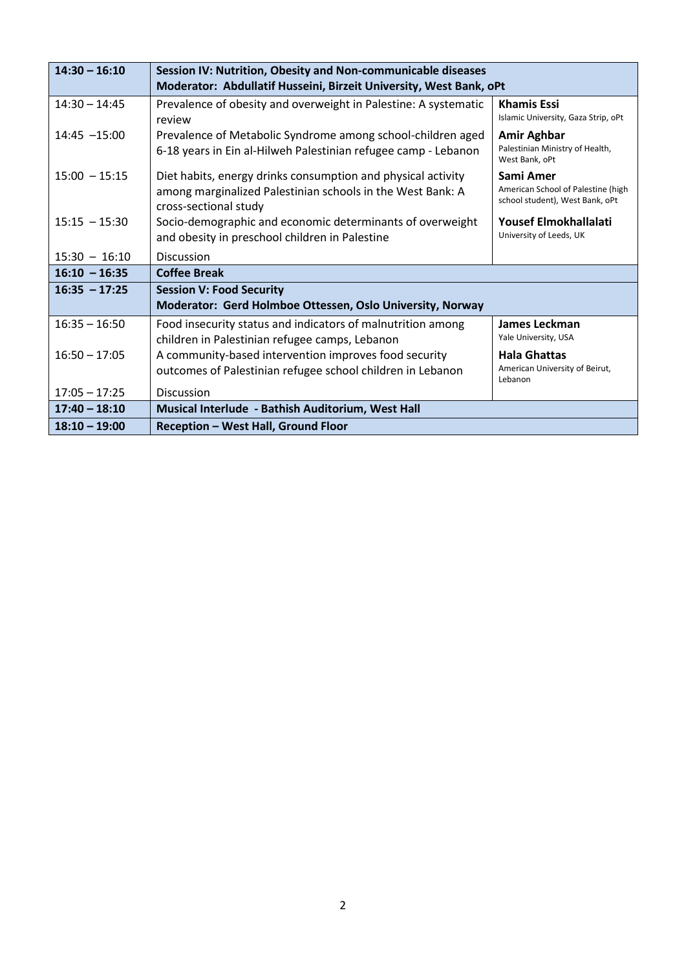| $14:30 - 16:10$ | Session IV: Nutrition, Obesity and Non-communicable diseases                                                                                        |                                                                                    |
|-----------------|-----------------------------------------------------------------------------------------------------------------------------------------------------|------------------------------------------------------------------------------------|
|                 | Moderator: Abdullatif Husseini, Birzeit University, West Bank, oPt                                                                                  |                                                                                    |
| $14:30 - 14:45$ | Prevalence of obesity and overweight in Palestine: A systematic<br>review                                                                           | <b>Khamis Essi</b><br>Islamic University, Gaza Strip, oPt                          |
| 14:45 -15:00    | Prevalence of Metabolic Syndrome among school-children aged<br>6-18 years in Ein al-Hilweh Palestinian refugee camp - Lebanon                       | <b>Amir Aghbar</b><br>Palestinian Ministry of Health,<br>West Bank, oPt            |
| $15:00 - 15:15$ | Diet habits, energy drinks consumption and physical activity<br>among marginalized Palestinian schools in the West Bank: A<br>cross-sectional study | Sami Amer<br>American School of Palestine (high<br>school student), West Bank, oPt |
| $15:15 - 15:30$ | Socio-demographic and economic determinants of overweight<br>and obesity in preschool children in Palestine                                         | Yousef Elmokhallalati<br>University of Leeds, UK                                   |
| $15:30 - 16:10$ | <b>Discussion</b>                                                                                                                                   |                                                                                    |
| $16:10 - 16:35$ | <b>Coffee Break</b>                                                                                                                                 |                                                                                    |
| $16:35 - 17:25$ | <b>Session V: Food Security</b>                                                                                                                     |                                                                                    |
|                 | Moderator: Gerd Holmboe Ottessen, Oslo University, Norway                                                                                           |                                                                                    |
| $16:35 - 16:50$ | Food insecurity status and indicators of malnutrition among<br>children in Palestinian refugee camps, Lebanon                                       | James Leckman<br>Yale University, USA                                              |
| $16:50 - 17:05$ | A community-based intervention improves food security                                                                                               | <b>Hala Ghattas</b>                                                                |
|                 | outcomes of Palestinian refugee school children in Lebanon                                                                                          | American University of Beirut,<br>Lebanon                                          |
| $17:05 - 17:25$ | <b>Discussion</b>                                                                                                                                   |                                                                                    |
| $17:40 - 18:10$ | Musical Interlude - Bathish Auditorium, West Hall                                                                                                   |                                                                                    |
| $18:10 - 19:00$ | <b>Reception - West Hall, Ground Floor</b>                                                                                                          |                                                                                    |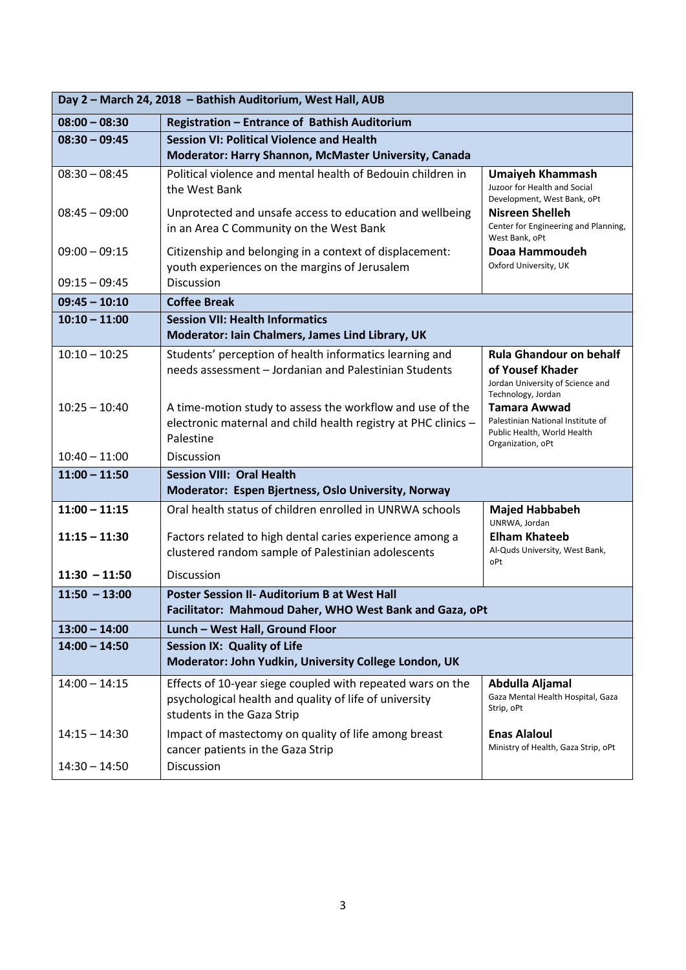| Day 2 - March 24, 2018 - Bathish Auditorium, West Hall, AUB |                                                                                                                                                    |                                                                                                              |  |
|-------------------------------------------------------------|----------------------------------------------------------------------------------------------------------------------------------------------------|--------------------------------------------------------------------------------------------------------------|--|
| $08:00 - 08:30$                                             | Registration - Entrance of Bathish Auditorium                                                                                                      |                                                                                                              |  |
| $08:30 - 09:45$                                             | <b>Session VI: Political Violence and Health</b>                                                                                                   |                                                                                                              |  |
|                                                             | Moderator: Harry Shannon, McMaster University, Canada                                                                                              |                                                                                                              |  |
| $08:30 - 08:45$                                             | Political violence and mental health of Bedouin children in<br>the West Bank                                                                       | <b>Umaiyeh Khammash</b><br>Juzoor for Health and Social<br>Development, West Bank, oPt                       |  |
| $08:45 - 09:00$                                             | Unprotected and unsafe access to education and wellbeing<br>in an Area C Community on the West Bank                                                | <b>Nisreen Shelleh</b><br>Center for Engineering and Planning,<br>West Bank, oPt                             |  |
| $09:00 - 09:15$                                             | Citizenship and belonging in a context of displacement:<br>youth experiences on the margins of Jerusalem                                           | Doaa Hammoudeh<br>Oxford University, UK                                                                      |  |
| $09:15 - 09:45$                                             | Discussion                                                                                                                                         |                                                                                                              |  |
| $09:45 - 10:10$                                             | <b>Coffee Break</b>                                                                                                                                |                                                                                                              |  |
| $10:10 - 11:00$                                             | <b>Session VII: Health Informatics</b>                                                                                                             |                                                                                                              |  |
|                                                             | Moderator: Iain Chalmers, James Lind Library, UK                                                                                                   |                                                                                                              |  |
| $10:10 - 10:25$                                             | Students' perception of health informatics learning and<br>needs assessment - Jordanian and Palestinian Students                                   | <b>Rula Ghandour on behalf</b><br>of Yousef Khader<br>Jordan University of Science and<br>Technology, Jordan |  |
| $10:25 - 10:40$                                             | A time-motion study to assess the workflow and use of the<br>electronic maternal and child health registry at PHC clinics -<br>Palestine           | <b>Tamara Awwad</b><br>Palestinian National Institute of<br>Public Health, World Health<br>Organization, oPt |  |
| $10:40 - 11:00$                                             | <b>Discussion</b>                                                                                                                                  |                                                                                                              |  |
| $11:00 - 11:50$                                             | <b>Session VIII: Oral Health</b>                                                                                                                   |                                                                                                              |  |
|                                                             | Moderator: Espen Bjertness, Oslo University, Norway                                                                                                |                                                                                                              |  |
| $11:00 - 11:15$                                             | Oral health status of children enrolled in UNRWA schools                                                                                           | <b>Majed Habbabeh</b><br>UNRWA, Jordan                                                                       |  |
| $11:15 - 11:30$                                             | Factors related to high dental caries experience among a<br>clustered random sample of Palestinian adolescents                                     | <b>Elham Khateeb</b><br>Al-Quds University, West Bank,<br>oPt                                                |  |
| $11:30 - 11:50$                                             | <b>Discussion</b>                                                                                                                                  |                                                                                                              |  |
| $11:50 - 13:00$                                             | <b>Poster Session II- Auditorium B at West Hall</b><br>Facilitator: Mahmoud Daher, WHO West Bank and Gaza, oPt                                     |                                                                                                              |  |
| $13:00 - 14:00$                                             | Lunch - West Hall, Ground Floor                                                                                                                    |                                                                                                              |  |
| $14:00 - 14:50$                                             | <b>Session IX: Quality of Life</b>                                                                                                                 |                                                                                                              |  |
|                                                             | Moderator: John Yudkin, University College London, UK                                                                                              |                                                                                                              |  |
| $14:00 - 14:15$                                             | Effects of 10-year siege coupled with repeated wars on the<br>psychological health and quality of life of university<br>students in the Gaza Strip | Abdulla Aljamal<br>Gaza Mental Health Hospital, Gaza<br>Strip, oPt                                           |  |
| $14:15 - 14:30$                                             | Impact of mastectomy on quality of life among breast<br>cancer patients in the Gaza Strip                                                          | <b>Enas Alaloul</b><br>Ministry of Health, Gaza Strip, oPt                                                   |  |
| $14:30 - 14:50$                                             | Discussion                                                                                                                                         |                                                                                                              |  |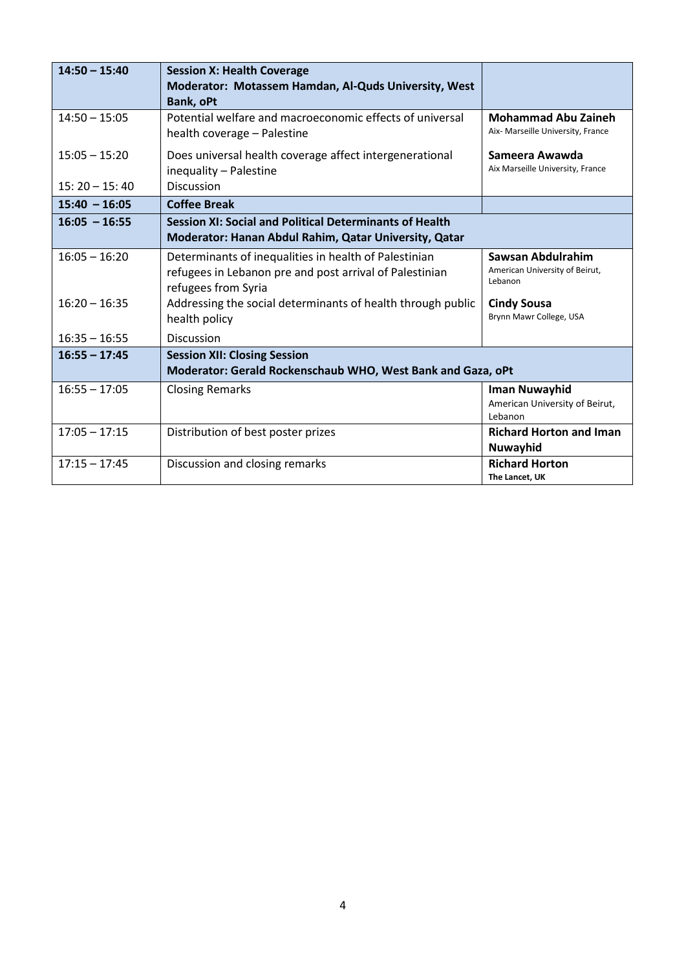| $14:50 - 15:40$                    | <b>Session X: Health Coverage</b><br>Moderator: Motassem Hamdan, Al-Quds University, West                                                                                                              |                                                                                      |
|------------------------------------|--------------------------------------------------------------------------------------------------------------------------------------------------------------------------------------------------------|--------------------------------------------------------------------------------------|
| $14:50 - 15:05$                    | <b>Bank, oPt</b><br>Potential welfare and macroeconomic effects of universal<br>health coverage - Palestine                                                                                            | <b>Mohammad Abu Zaineh</b><br>Aix- Marseille University, France                      |
| $15:05 - 15:20$<br>$15:20 - 15:40$ | Does universal health coverage affect intergenerational<br>inequality - Palestine<br><b>Discussion</b>                                                                                                 | Sameera Awawda<br>Aix Marseille University, France                                   |
| $15:40 - 16:05$                    | <b>Coffee Break</b>                                                                                                                                                                                    |                                                                                      |
| $16:05 - 16:55$                    | <b>Session XI: Social and Political Determinants of Health</b><br>Moderator: Hanan Abdul Rahim, Qatar University, Qatar                                                                                |                                                                                      |
| $16:05 - 16:20$<br>$16:20 - 16:35$ | Determinants of inequalities in health of Palestinian<br>refugees in Lebanon pre and post arrival of Palestinian<br>refugees from Syria<br>Addressing the social determinants of health through public | Sawsan Abdulrahim<br>American University of Beirut,<br>Lebanon<br><b>Cindy Sousa</b> |
|                                    | health policy                                                                                                                                                                                          | Brynn Mawr College, USA                                                              |
| $16:35 - 16:55$                    | Discussion                                                                                                                                                                                             |                                                                                      |
| $16:55 - 17:45$                    | <b>Session XII: Closing Session</b><br>Moderator: Gerald Rockenschaub WHO, West Bank and Gaza, oPt                                                                                                     |                                                                                      |
| $16:55 - 17:05$                    | <b>Closing Remarks</b>                                                                                                                                                                                 | Iman Nuwayhid<br>American University of Beirut,<br>Lebanon                           |
| $17:05 - 17:15$                    | Distribution of best poster prizes                                                                                                                                                                     | <b>Richard Horton and Iman</b><br>Nuwayhid                                           |
| $17:15 - 17:45$                    | Discussion and closing remarks                                                                                                                                                                         | <b>Richard Horton</b><br>The Lancet, UK                                              |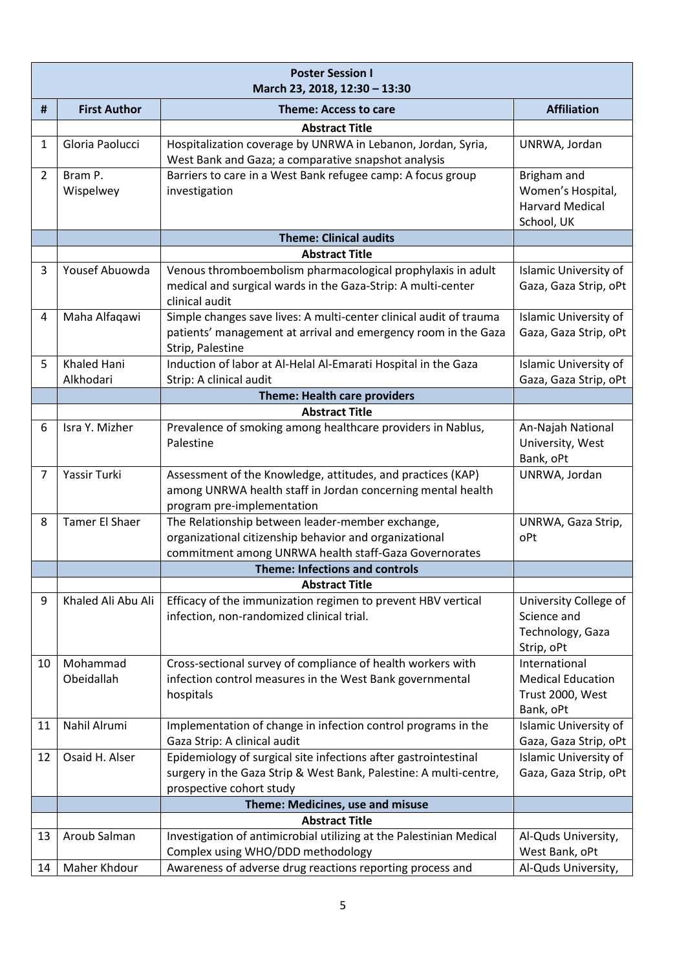|                | <b>Poster Session I</b><br>March 23, 2018, 12:30 - 13:30 |                                                                                |                               |  |
|----------------|----------------------------------------------------------|--------------------------------------------------------------------------------|-------------------------------|--|
| #              | <b>First Author</b>                                      | <b>Theme: Access to care</b>                                                   | <b>Affiliation</b>            |  |
|                |                                                          | <b>Abstract Title</b>                                                          |                               |  |
| 1              | Gloria Paolucci                                          | Hospitalization coverage by UNRWA in Lebanon, Jordan, Syria,                   | UNRWA, Jordan                 |  |
|                |                                                          | West Bank and Gaza; a comparative snapshot analysis                            |                               |  |
| $\overline{2}$ | Bram P.                                                  | Barriers to care in a West Bank refugee camp: A focus group                    | Brigham and                   |  |
|                | Wispelwey                                                | investigation                                                                  | Women's Hospital,             |  |
|                |                                                          |                                                                                | <b>Harvard Medical</b>        |  |
|                |                                                          |                                                                                | School, UK                    |  |
|                |                                                          | <b>Theme: Clinical audits</b>                                                  |                               |  |
|                |                                                          | <b>Abstract Title</b>                                                          |                               |  |
| 3              | Yousef Abuowda                                           | Venous thromboembolism pharmacological prophylaxis in adult                    | Islamic University of         |  |
|                |                                                          | medical and surgical wards in the Gaza-Strip: A multi-center<br>clinical audit | Gaza, Gaza Strip, oPt         |  |
| 4              | Maha Alfaqawi                                            | Simple changes save lives: A multi-center clinical audit of trauma             | Islamic University of         |  |
|                |                                                          | patients' management at arrival and emergency room in the Gaza                 | Gaza, Gaza Strip, oPt         |  |
|                |                                                          | Strip, Palestine                                                               |                               |  |
| 5              | Khaled Hani                                              | Induction of labor at Al-Helal Al-Emarati Hospital in the Gaza                 | Islamic University of         |  |
|                | Alkhodari                                                | Strip: A clinical audit                                                        | Gaza, Gaza Strip, oPt         |  |
|                |                                                          | <b>Theme: Health care providers</b>                                            |                               |  |
|                |                                                          | <b>Abstract Title</b>                                                          |                               |  |
| 6              | Isra Y. Mizher                                           | Prevalence of smoking among healthcare providers in Nablus,                    | An-Najah National             |  |
|                |                                                          | Palestine                                                                      | University, West<br>Bank, oPt |  |
| 7              | Yassir Turki                                             | Assessment of the Knowledge, attitudes, and practices (KAP)                    | UNRWA, Jordan                 |  |
|                |                                                          | among UNRWA health staff in Jordan concerning mental health                    |                               |  |
|                |                                                          | program pre-implementation                                                     |                               |  |
| 8              | <b>Tamer El Shaer</b>                                    | The Relationship between leader-member exchange,                               | UNRWA, Gaza Strip,            |  |
|                |                                                          | organizational citizenship behavior and organizational                         | oPt                           |  |
|                |                                                          | commitment among UNRWA health staff-Gaza Governorates                          |                               |  |
|                |                                                          | <b>Theme: Infections and controls</b>                                          |                               |  |
|                |                                                          | <b>Abstract Title</b>                                                          |                               |  |
| 9              | Khaled Ali Abu Ali                                       | Efficacy of the immunization regimen to prevent HBV vertical                   | University College of         |  |
|                |                                                          | infection, non-randomized clinical trial.                                      | Science and                   |  |
|                |                                                          |                                                                                | Technology, Gaza              |  |
|                |                                                          |                                                                                | Strip, oPt                    |  |
| 10             | Mohammad                                                 | Cross-sectional survey of compliance of health workers with                    | International                 |  |
|                | Obeidallah                                               | infection control measures in the West Bank governmental                       | <b>Medical Education</b>      |  |
|                |                                                          | hospitals                                                                      | Trust 2000, West<br>Bank, oPt |  |
| 11             | Nahil Alrumi                                             | Implementation of change in infection control programs in the                  | Islamic University of         |  |
|                |                                                          | Gaza Strip: A clinical audit                                                   | Gaza, Gaza Strip, oPt         |  |
| 12             | Osaid H. Alser                                           | Epidemiology of surgical site infections after gastrointestinal                | Islamic University of         |  |
|                |                                                          | surgery in the Gaza Strip & West Bank, Palestine: A multi-centre,              | Gaza, Gaza Strip, oPt         |  |
|                |                                                          | prospective cohort study                                                       |                               |  |
|                |                                                          | Theme: Medicines, use and misuse                                               |                               |  |
|                |                                                          | <b>Abstract Title</b>                                                          |                               |  |
| 13             | Aroub Salman                                             | Investigation of antimicrobial utilizing at the Palestinian Medical            | Al-Quds University,           |  |
|                |                                                          | Complex using WHO/DDD methodology                                              | West Bank, oPt                |  |
| 14             | Maher Khdour                                             | Awareness of adverse drug reactions reporting process and                      | Al-Quds University,           |  |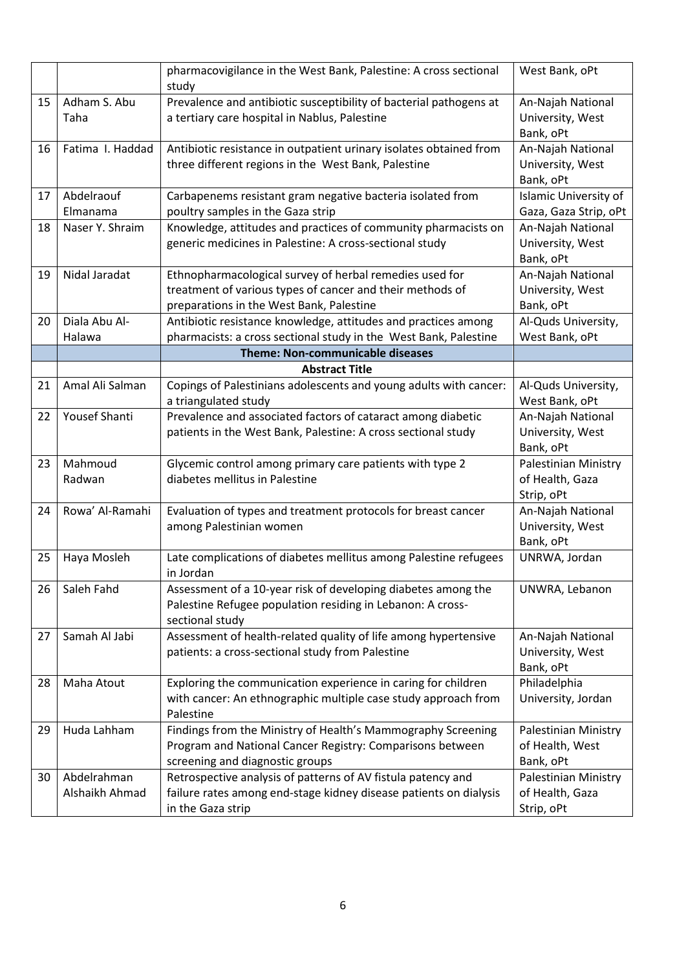|    |                               | pharmacovigilance in the West Bank, Palestine: A cross sectional<br>study                                                                                        | West Bank, oPt                                        |
|----|-------------------------------|------------------------------------------------------------------------------------------------------------------------------------------------------------------|-------------------------------------------------------|
| 15 | Adham S. Abu<br>Taha          | Prevalence and antibiotic susceptibility of bacterial pathogens at<br>a tertiary care hospital in Nablus, Palestine                                              | An-Najah National<br>University, West<br>Bank, oPt    |
| 16 | Fatima I. Haddad              | Antibiotic resistance in outpatient urinary isolates obtained from<br>three different regions in the West Bank, Palestine                                        | An-Najah National<br>University, West<br>Bank, oPt    |
| 17 | Abdelraouf<br>Elmanama        | Carbapenems resistant gram negative bacteria isolated from<br>poultry samples in the Gaza strip                                                                  | Islamic University of<br>Gaza, Gaza Strip, oPt        |
| 18 | Naser Y. Shraim               | Knowledge, attitudes and practices of community pharmacists on<br>generic medicines in Palestine: A cross-sectional study                                        | An-Najah National<br>University, West<br>Bank, oPt    |
| 19 | Nidal Jaradat                 | Ethnopharmacological survey of herbal remedies used for<br>treatment of various types of cancer and their methods of<br>preparations in the West Bank, Palestine | An-Najah National<br>University, West<br>Bank, oPt    |
| 20 | Diala Abu Al-<br>Halawa       | Antibiotic resistance knowledge, attitudes and practices among<br>pharmacists: a cross sectional study in the West Bank, Palestine                               | Al-Quds University,<br>West Bank, oPt                 |
|    |                               | <b>Theme: Non-communicable diseases</b>                                                                                                                          |                                                       |
|    |                               | <b>Abstract Title</b>                                                                                                                                            |                                                       |
| 21 | Amal Ali Salman               | Copings of Palestinians adolescents and young adults with cancer:<br>a triangulated study                                                                        | Al-Quds University,<br>West Bank, oPt                 |
| 22 | Yousef Shanti                 | Prevalence and associated factors of cataract among diabetic<br>patients in the West Bank, Palestine: A cross sectional study                                    | An-Najah National<br>University, West<br>Bank, oPt    |
| 23 | Mahmoud<br>Radwan             | Glycemic control among primary care patients with type 2<br>diabetes mellitus in Palestine                                                                       | Palestinian Ministry<br>of Health, Gaza<br>Strip, oPt |
| 24 | Rowa' Al-Ramahi               | Evaluation of types and treatment protocols for breast cancer<br>among Palestinian women                                                                         | An-Najah National<br>University, West<br>Bank, oPt    |
| 25 | Haya Mosleh                   | Late complications of diabetes mellitus among Palestine refugees<br>in Jordan                                                                                    | UNRWA, Jordan                                         |
| 26 | Saleh Fahd                    | Assessment of a 10-year risk of developing diabetes among the<br>Palestine Refugee population residing in Lebanon: A cross-<br>sectional study                   | UNWRA, Lebanon                                        |
| 27 | Samah Al Jabi                 | Assessment of health-related quality of life among hypertensive<br>patients: a cross-sectional study from Palestine                                              | An-Najah National<br>University, West<br>Bank, oPt    |
| 28 | Maha Atout                    | Exploring the communication experience in caring for children<br>with cancer: An ethnographic multiple case study approach from<br>Palestine                     | Philadelphia<br>University, Jordan                    |
| 29 | Huda Lahham                   | Findings from the Ministry of Health's Mammography Screening<br>Program and National Cancer Registry: Comparisons between<br>screening and diagnostic groups     | Palestinian Ministry<br>of Health, West<br>Bank, oPt  |
| 30 | Abdelrahman<br>Alshaikh Ahmad | Retrospective analysis of patterns of AV fistula patency and<br>failure rates among end-stage kidney disease patients on dialysis<br>in the Gaza strip           | Palestinian Ministry<br>of Health, Gaza<br>Strip, oPt |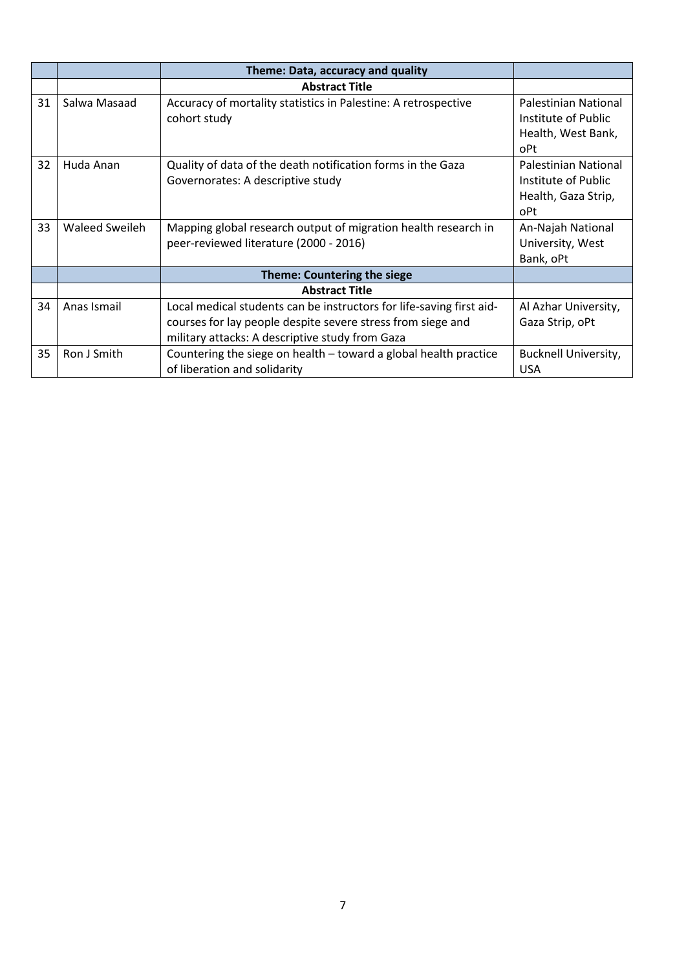|    |                | Theme: Data, accuracy and quality                                    |                             |
|----|----------------|----------------------------------------------------------------------|-----------------------------|
|    |                | <b>Abstract Title</b>                                                |                             |
| 31 | Salwa Masaad   | Accuracy of mortality statistics in Palestine: A retrospective       | Palestinian National        |
|    |                | cohort study                                                         | Institute of Public         |
|    |                |                                                                      | Health, West Bank,          |
|    |                |                                                                      | oPt                         |
| 32 | Huda Anan      | Quality of data of the death notification forms in the Gaza          | Palestinian National        |
|    |                | Governorates: A descriptive study                                    | Institute of Public         |
|    |                |                                                                      | Health, Gaza Strip,         |
|    |                |                                                                      | oPt                         |
| 33 | Waleed Sweileh | Mapping global research output of migration health research in       | An-Najah National           |
|    |                | peer-reviewed literature (2000 - 2016)                               | University, West            |
|    |                |                                                                      | Bank, oPt                   |
|    |                | <b>Theme: Countering the siege</b>                                   |                             |
|    |                | <b>Abstract Title</b>                                                |                             |
| 34 | Anas Ismail    | Local medical students can be instructors for life-saving first aid- | Al Azhar University,        |
|    |                | courses for lay people despite severe stress from siege and          | Gaza Strip, oPt             |
|    |                | military attacks: A descriptive study from Gaza                      |                             |
| 35 | Ron J Smith    | Countering the siege on health – toward a global health practice     | <b>Bucknell University,</b> |
|    |                | of liberation and solidarity                                         | <b>USA</b>                  |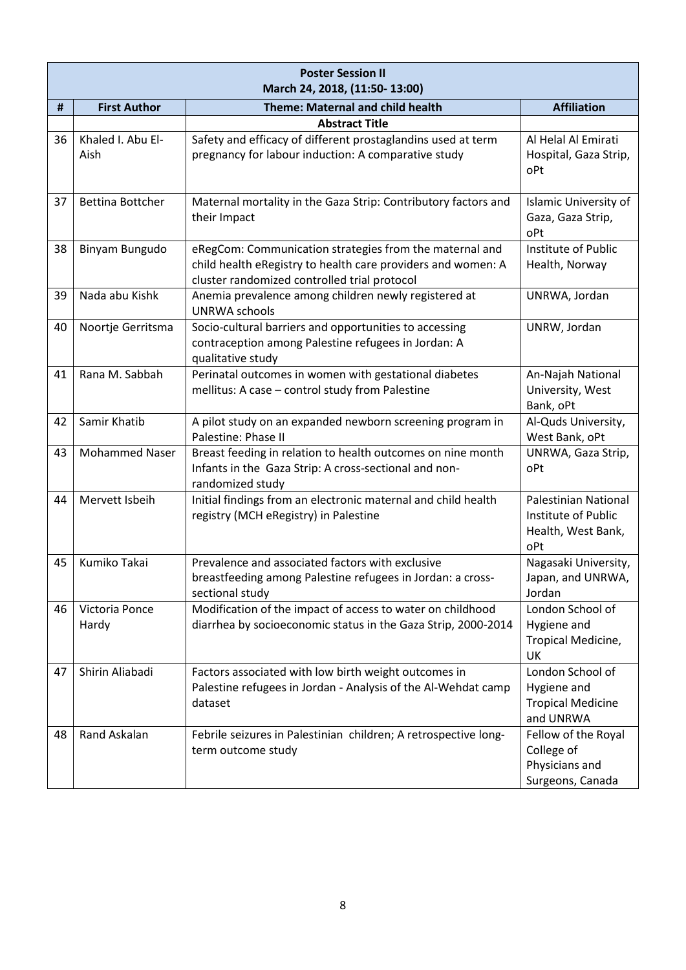|    | <b>Poster Session II</b><br>March 24, 2018, (11:50-13:00) |                                                                                                                                                                         |                                                                                 |  |
|----|-----------------------------------------------------------|-------------------------------------------------------------------------------------------------------------------------------------------------------------------------|---------------------------------------------------------------------------------|--|
| #  | <b>First Author</b>                                       | <b>Theme: Maternal and child health</b>                                                                                                                                 | <b>Affiliation</b>                                                              |  |
|    |                                                           | <b>Abstract Title</b>                                                                                                                                                   |                                                                                 |  |
| 36 | Khaled I. Abu El-<br>Aish                                 | Safety and efficacy of different prostaglandins used at term<br>pregnancy for labour induction: A comparative study                                                     | Al Helal Al Emirati<br>Hospital, Gaza Strip,<br>oPt                             |  |
| 37 | <b>Bettina Bottcher</b>                                   | Maternal mortality in the Gaza Strip: Contributory factors and<br>their Impact                                                                                          | Islamic University of<br>Gaza, Gaza Strip,<br>oPt                               |  |
| 38 | Binyam Bungudo                                            | eRegCom: Communication strategies from the maternal and<br>child health eRegistry to health care providers and women: A<br>cluster randomized controlled trial protocol | Institute of Public<br>Health, Norway                                           |  |
| 39 | Nada abu Kishk                                            | Anemia prevalence among children newly registered at<br><b>UNRWA schools</b>                                                                                            | UNRWA, Jordan                                                                   |  |
| 40 | Noortje Gerritsma                                         | Socio-cultural barriers and opportunities to accessing<br>contraception among Palestine refugees in Jordan: A<br>qualitative study                                      | UNRW, Jordan                                                                    |  |
| 41 | Rana M. Sabbah                                            | Perinatal outcomes in women with gestational diabetes<br>mellitus: A case - control study from Palestine                                                                | An-Najah National<br>University, West<br>Bank, oPt                              |  |
| 42 | Samir Khatib                                              | A pilot study on an expanded newborn screening program in<br>Palestine: Phase II                                                                                        | Al-Quds University,<br>West Bank, oPt                                           |  |
| 43 | <b>Mohammed Naser</b>                                     | Breast feeding in relation to health outcomes on nine month<br>Infants in the Gaza Strip: A cross-sectional and non-<br>randomized study                                | UNRWA, Gaza Strip,<br>oPt                                                       |  |
| 44 | Mervett Isbeih                                            | Initial findings from an electronic maternal and child health<br>registry (MCH eRegistry) in Palestine                                                                  | <b>Palestinian National</b><br>Institute of Public<br>Health, West Bank,<br>oPt |  |
| 45 | Kumiko Takai                                              | Prevalence and associated factors with exclusive<br>breastfeeding among Palestine refugees in Jordan: a cross-<br>sectional study                                       | Nagasaki University,<br>Japan, and UNRWA,<br>Jordan                             |  |
| 46 | Victoria Ponce<br>Hardy                                   | Modification of the impact of access to water on childhood<br>diarrhea by socioeconomic status in the Gaza Strip, 2000-2014                                             | London School of<br>Hygiene and<br>Tropical Medicine,<br>UK                     |  |
| 47 | Shirin Aliabadi                                           | Factors associated with low birth weight outcomes in<br>Palestine refugees in Jordan - Analysis of the Al-Wehdat camp<br>dataset                                        | London School of<br>Hygiene and<br><b>Tropical Medicine</b><br>and UNRWA        |  |
| 48 | Rand Askalan                                              | Febrile seizures in Palestinian children; A retrospective long-<br>term outcome study                                                                                   | Fellow of the Royal<br>College of<br>Physicians and<br>Surgeons, Canada         |  |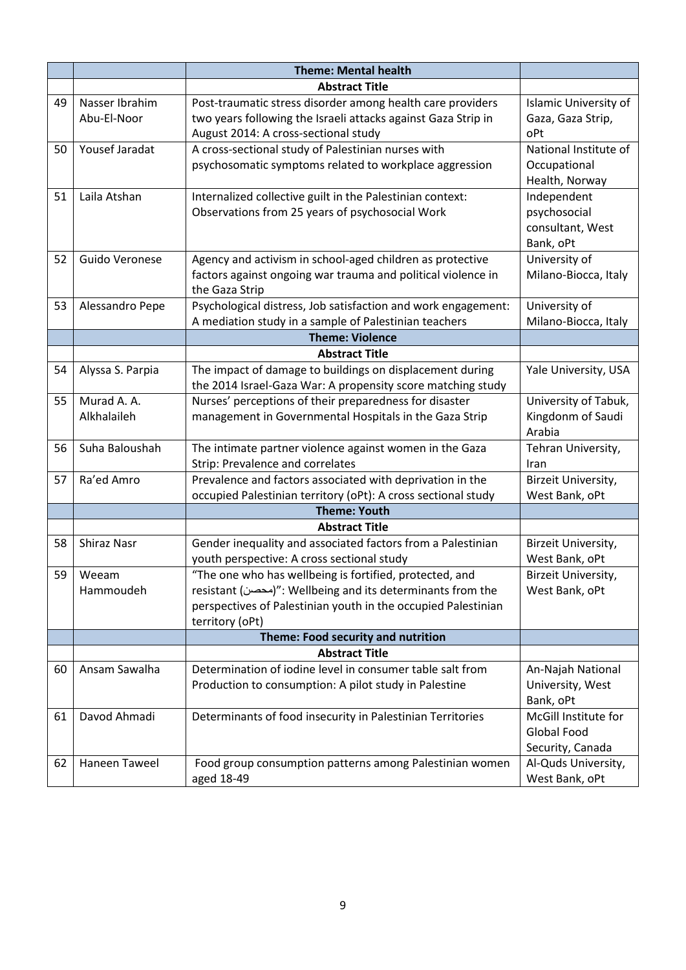|    |                       | <b>Theme: Mental health</b>                                                                                             |                                       |
|----|-----------------------|-------------------------------------------------------------------------------------------------------------------------|---------------------------------------|
|    |                       | <b>Abstract Title</b>                                                                                                   |                                       |
| 49 | Nasser Ibrahim        | Post-traumatic stress disorder among health care providers                                                              | Islamic University of                 |
|    | Abu-El-Noor           | two years following the Israeli attacks against Gaza Strip in                                                           | Gaza, Gaza Strip,                     |
|    |                       | August 2014: A cross-sectional study                                                                                    | oPt                                   |
| 50 | Yousef Jaradat        | A cross-sectional study of Palestinian nurses with                                                                      | National Institute of                 |
|    |                       | psychosomatic symptoms related to workplace aggression                                                                  | Occupational                          |
|    |                       |                                                                                                                         | Health, Norway                        |
| 51 | Laila Atshan          | Internalized collective guilt in the Palestinian context:                                                               | Independent                           |
|    |                       | Observations from 25 years of psychosocial Work                                                                         | psychosocial                          |
|    |                       |                                                                                                                         | consultant, West                      |
|    |                       |                                                                                                                         | Bank, oPt                             |
| 52 | Guido Veronese        | Agency and activism in school-aged children as protective                                                               | University of                         |
|    |                       | factors against ongoing war trauma and political violence in                                                            | Milano-Biocca, Italy                  |
|    |                       | the Gaza Strip                                                                                                          |                                       |
| 53 | Alessandro Pepe       | Psychological distress, Job satisfaction and work engagement:                                                           | University of                         |
|    |                       | A mediation study in a sample of Palestinian teachers<br><b>Theme: Violence</b>                                         | Milano-Biocca, Italy                  |
|    |                       |                                                                                                                         |                                       |
|    |                       | <b>Abstract Title</b>                                                                                                   |                                       |
| 54 | Alyssa S. Parpia      | The impact of damage to buildings on displacement during<br>the 2014 Israel-Gaza War: A propensity score matching study | Yale University, USA                  |
| 55 | Murad A. A.           | Nurses' perceptions of their preparedness for disaster                                                                  | University of Tabuk,                  |
|    | Alkhalaileh           | management in Governmental Hospitals in the Gaza Strip                                                                  | Kingdonm of Saudi                     |
|    |                       |                                                                                                                         | Arabia                                |
| 56 | Suha Baloushah        | The intimate partner violence against women in the Gaza                                                                 | Tehran University,                    |
|    |                       | Strip: Prevalence and correlates                                                                                        | Iran                                  |
| 57 | Ra'ed Amro            | Prevalence and factors associated with deprivation in the                                                               | Birzeit University,                   |
|    |                       | occupied Palestinian territory (oPt): A cross sectional study                                                           | West Bank, oPt                        |
|    |                       | <b>Theme: Youth</b>                                                                                                     |                                       |
|    |                       | <b>Abstract Title</b>                                                                                                   |                                       |
| 58 | Shiraz Nasr           | Gender inequality and associated factors from a Palestinian                                                             | Birzeit University,                   |
|    |                       | youth perspective: A cross sectional study                                                                              | West Bank, oPt                        |
|    | 59 Weeam<br>Hammoudeh | "The one who has wellbeing is fortified, protected, and<br>resistant (محصن)": Wellbeing and its determinants from the   | Birzeit University,<br>West Bank, oPt |
|    |                       | perspectives of Palestinian youth in the occupied Palestinian                                                           |                                       |
|    |                       | territory (oPt)                                                                                                         |                                       |
|    |                       | Theme: Food security and nutrition                                                                                      |                                       |
|    |                       | <b>Abstract Title</b>                                                                                                   |                                       |
| 60 | Ansam Sawalha         | Determination of iodine level in consumer table salt from                                                               | An-Najah National                     |
|    |                       | Production to consumption: A pilot study in Palestine                                                                   | University, West                      |
|    |                       |                                                                                                                         | Bank, oPt                             |
| 61 | Davod Ahmadi          | Determinants of food insecurity in Palestinian Territories                                                              | McGill Institute for                  |
|    |                       |                                                                                                                         | Global Food                           |
|    |                       |                                                                                                                         | Security, Canada                      |
| 62 | Haneen Taweel         | Food group consumption patterns among Palestinian women                                                                 | Al-Quds University,                   |
|    |                       | aged 18-49                                                                                                              | West Bank, oPt                        |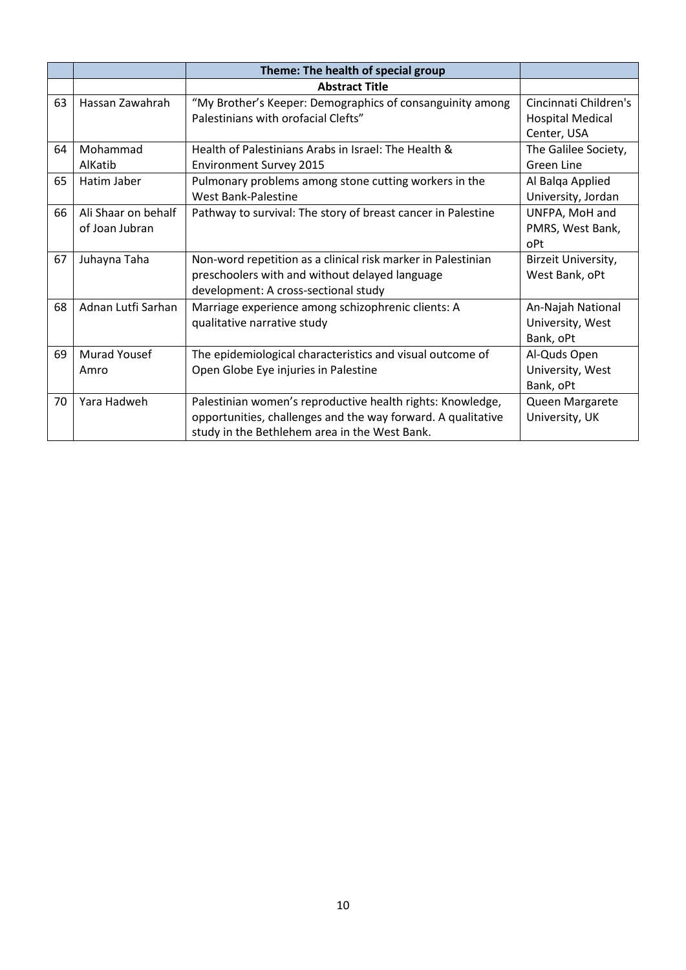|    |                     | Theme: The health of special group                           |                         |
|----|---------------------|--------------------------------------------------------------|-------------------------|
|    |                     | <b>Abstract Title</b>                                        |                         |
| 63 | Hassan Zawahrah     | "My Brother's Keeper: Demographics of consanguinity among    | Cincinnati Children's   |
|    |                     | Palestinians with orofacial Clefts"                          | <b>Hospital Medical</b> |
|    |                     |                                                              | Center, USA             |
| 64 | Mohammad            | Health of Palestinians Arabs in Israel: The Health &         | The Galilee Society,    |
|    | AlKatib             | <b>Environment Survey 2015</b>                               | <b>Green Line</b>       |
| 65 | Hatim Jaber         | Pulmonary problems among stone cutting workers in the        | Al Balqa Applied        |
|    |                     | <b>West Bank-Palestine</b>                                   | University, Jordan      |
| 66 | Ali Shaar on behalf | Pathway to survival: The story of breast cancer in Palestine | UNFPA, MoH and          |
|    | of Joan Jubran      |                                                              | PMRS, West Bank,        |
|    |                     |                                                              | oPt                     |
| 67 | Juhayna Taha        | Non-word repetition as a clinical risk marker in Palestinian | Birzeit University,     |
|    |                     | preschoolers with and without delayed language               | West Bank, oPt          |
|    |                     | development: A cross-sectional study                         |                         |
| 68 | Adnan Lutfi Sarhan  | Marriage experience among schizophrenic clients: A           | An-Najah National       |
|    |                     | qualitative narrative study                                  | University, West        |
|    |                     |                                                              | Bank, oPt               |
| 69 | Murad Yousef        | The epidemiological characteristics and visual outcome of    | Al-Quds Open            |
|    | Amro                | Open Globe Eye injuries in Palestine                         | University, West        |
|    |                     |                                                              | Bank, oPt               |
| 70 | Yara Hadweh         | Palestinian women's reproductive health rights: Knowledge,   | Queen Margarete         |
|    |                     | opportunities, challenges and the way forward. A qualitative | University, UK          |
|    |                     | study in the Bethlehem area in the West Bank.                |                         |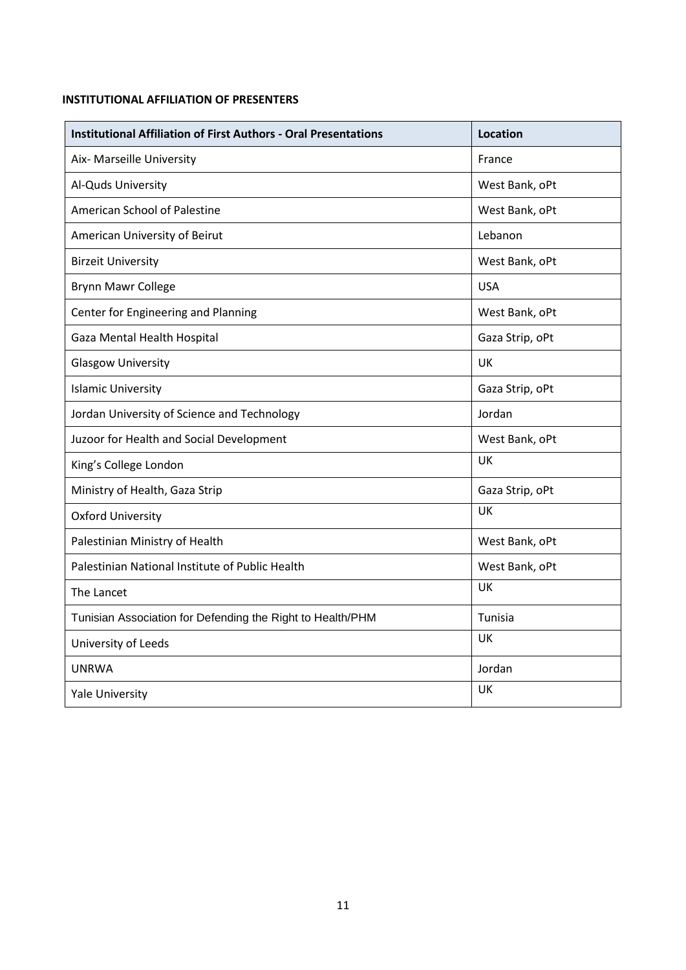### **INSTITUTIONAL AFFILIATION OF PRESENTERS**

| <b>Institutional Affiliation of First Authors - Oral Presentations</b> | <b>Location</b> |
|------------------------------------------------------------------------|-----------------|
| Aix- Marseille University                                              | France          |
| Al-Quds University                                                     | West Bank, oPt  |
| American School of Palestine                                           | West Bank, oPt  |
| American University of Beirut                                          | Lebanon         |
| <b>Birzeit University</b>                                              | West Bank, oPt  |
| Brynn Mawr College                                                     | <b>USA</b>      |
| Center for Engineering and Planning                                    | West Bank, oPt  |
| Gaza Mental Health Hospital                                            | Gaza Strip, oPt |
| <b>Glasgow University</b>                                              | UK              |
| <b>Islamic University</b>                                              | Gaza Strip, oPt |
| Jordan University of Science and Technology                            | Jordan          |
| Juzoor for Health and Social Development                               | West Bank, oPt  |
| King's College London                                                  | UK              |
| Ministry of Health, Gaza Strip                                         | Gaza Strip, oPt |
| <b>Oxford University</b>                                               | UK              |
| Palestinian Ministry of Health                                         | West Bank, oPt  |
| Palestinian National Institute of Public Health                        | West Bank, oPt  |
| The Lancet                                                             | UK              |
| Tunisian Association for Defending the Right to Health/PHM             | Tunisia         |
| University of Leeds                                                    | UK              |
| <b>UNRWA</b>                                                           | Jordan          |
| <b>Yale University</b>                                                 | UK              |